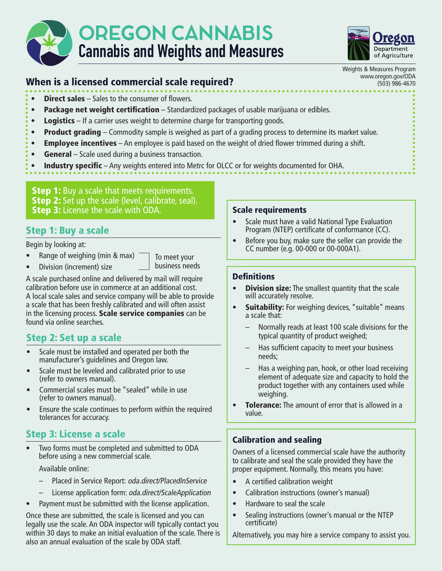



Weights & Measures Program

# When is a licensed commercial scale required?<br>
When is a licensed commercial scale required?

- Direct sales Sales to the consumer of flowers.
- Package net weight certification Standardized packages of usable marijuana or edibles.
- Logistics If a carrier uses weight to determine charge for transporting goods.
- Product grading Commodity sample is weighed as part of a grading process to determine its market value.
- Employee incentives An employee is paid based on the weight of dried flower trimmed during a shift.
- General Scale used during a business transaction.
- Industry specific Any weights entered into Metrc for OLCC or for weights documented for OHA.

**Step 1:** Buy a scale that meets requirements. **Step 2:** Set up the scale (level, calibrate, seal). **Step 3:** License the scale with ODA.

## Step 1: Buy a scale

Begin by looking at:

• Range of weighing (min & max)

• Division (increment) size

To meet your business needs

A scale purchased online and delivered by mail will require calibration before use in commerce at an additional cost. A local scale sales and service company will be able to provide a scale that has been freshly calibrated and will often assist in the licensing process. Scale service companies can be found via online searches.

## Step 2: Set up a scale

- Scale must be installed and operated per both the manufacturer's guidelines and Oregon law.
- Scale must be leveled and calibrated prior to use (refer to owners manual).
- Commercial scales must be "sealed" while in use (refer to owners manual).
- Ensure the scale continues to perform within the required tolerances for accuracy.

## Step 3: License a scale

Two forms must be completed and submitted to ODA before using a new commercial scale.

Available online:

- Placed in Service Report: oda.direct/PlacedInService
- License application form: oda.direct/ScaleApplication
- Payment must be submitted with the license application.

Once these are submitted, the scale is licensed and you can legally use the scale. An ODA inspector will typically contact you within 30 days to make an initial evaluation of the scale. There is also an annual evaluation of the scale by ODA staff.

#### Scale requirements

- Scale must have a valid National Type Evaluation Program (NTEP) certificate of conformance (CC).
- Before you buy, make sure the seller can provide the CC number (e.g. 00-000 or 00-000A1).

#### **Definitions**

- Division size: The smallest quantity that the scale will accurately resolve.
- Suitability: For weighing devices, "suitable" means a scale that:
	- Normally reads at least 100 scale divisions for the typical quantity of product weighed;
	- Has sufficient capacity to meet your business needs;
	- Has a weighing pan, hook, or other load receiving element of adequate size and capacity to hold the product together with any containers used while weighing.
- **Tolerance:** The amount of error that is allowed in a value.

#### Calibration and sealing

Owners of a licensed commercial scale have the authority to calibrate and seal the scale provided they have the proper equipment. Normally, this means you have:

- A certified calibration weight
- Calibration instructions (owner's manual)
- Hardware to seal the scale
- Sealing instructions (owner's manual or the NTEP certificate)

Alternatively, you may hire a service company to assist you.